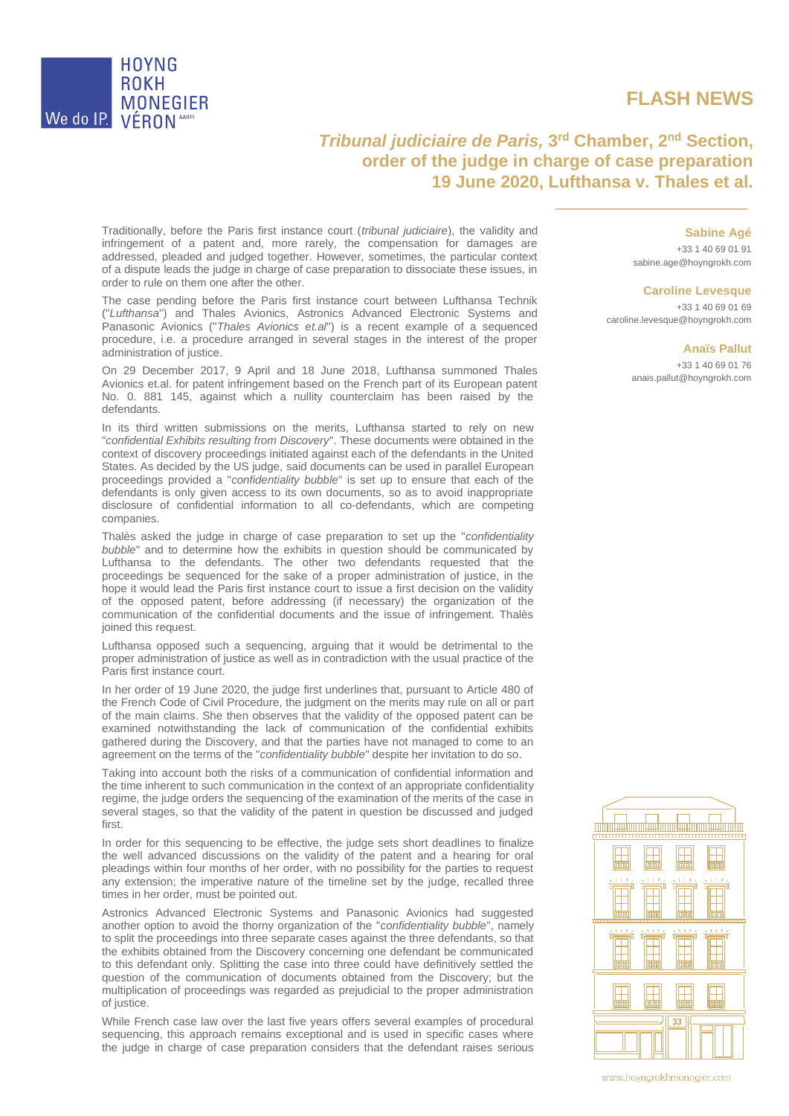

## **FLASH NEWS**

## *Tribunal judiciaire de Paris,* **3<sup>rd</sup> Chamber, 2<sup>nd</sup> Section, order of the judge in charge of case preparation 19 June 2020, Lufthansa v. Thales et al.**

Traditionally, before the Paris first instance court (*tribunal judiciaire*), the validity and infringement of a patent and, more rarely, the compensation for damages are addressed, pleaded and judged together. However, sometimes, the particular context of a dispute leads the judge in charge of case preparation to dissociate these issues, in order to rule on them one after the other.

The case pending before the Paris first instance court between Lufthansa Technik ("*Lufthansa*") and Thales Avionics, Astronics Advanced Electronic Systems and Panasonic Avionics ("*Thales Avionics et.al*") is a recent example of a sequenced procedure, i.e. a procedure arranged in several stages in the interest of the proper administration of justice.

On 29 December 2017, 9 April and 18 June 2018, Lufthansa summoned Thales Avionics et.al. for patent infringement based on the French part of its European patent No. 0. 881 145, against which a nullity counterclaim has been raised by the defendants.

In its third written submissions on the merits, Lufthansa started to rely on new "*confidential Exhibits resulting from Discovery*". These documents were obtained in the context of discovery proceedings initiated against each of the defendants in the United States. As decided by the US judge, said documents can be used in parallel European proceedings provided a "*confidentiality bubble*" is set up to ensure that each of the defendants is only given access to its own documents, so as to avoid inappropriate disclosure of confidential information to all co-defendants, which are competing companies.

Thalès asked the judge in charge of case preparation to set up the "*confidentiality bubble*" and to determine how the exhibits in question should be communicated by Lufthansa to the defendants. The other two defendants requested that the proceedings be sequenced for the sake of a proper administration of justice, in the hope it would lead the Paris first instance court to issue a first decision on the validity of the opposed patent, before addressing (if necessary) the organization of the communication of the confidential documents and the issue of infringement. Thalès joined this request.

Lufthansa opposed such a sequencing, arguing that it would be detrimental to the proper administration of justice as well as in contradiction with the usual practice of the Paris first instance court.

In her order of 19 June 2020, the judge first underlines that, pursuant to Article 480 of the French Code of Civil Procedure, the judgment on the merits may rule on all or part of the main claims. She then observes that the validity of the opposed patent can be examined notwithstanding the lack of communication of the confidential exhibits gathered during the Discovery, and that the parties have not managed to come to an agreement on the terms of the "*confidentiality bubble*" despite her invitation to do so.

Taking into account both the risks of a communication of confidential information and the time inherent to such communication in the context of an appropriate confidentiality regime, the judge orders the sequencing of the examination of the merits of the case in several stages, so that the validity of the patent in question be discussed and judged first.

In order for this sequencing to be effective, the judge sets short deadlines to finalize the well advanced discussions on the validity of the patent and a hearing for oral pleadings within four months of her order, with no possibility for the parties to request any extension; the imperative nature of the timeline set by the judge, recalled three times in her order, must be pointed out.

Astronics Advanced Electronic Systems and Panasonic Avionics had suggested another option to avoid the thorny organization of the "*confidentiality bubble*", namely to split the proceedings into three separate cases against the three defendants, so that the exhibits obtained from the Discovery concerning one defendant be communicated to this defendant only. Splitting the case into three could have definitively settled the question of the communication of documents obtained from the Discovery; but the multiplication of proceedings was regarded as prejudicial to the proper administration of justice.

While French case law over the last five years offers several examples of procedural sequencing, this approach remains exceptional and is used in specific cases where the judge in charge of case preparation considers that the defendant raises serious **Sabine Agé**

+33 1 40 69 01 91 sabine.age@hoyngrokh.com

## **Caroline Levesque**

+33 1 40 69 01 69 caroline.levesque@hoyngrokh.com

## **Anaïs Pallut**

+33 1 40 69 01 76 [anais.pallut@hoyngrokh.com](mailto:sophie.micallef@hoyngrokh.com)



www.hoyngrokhmonegier.com